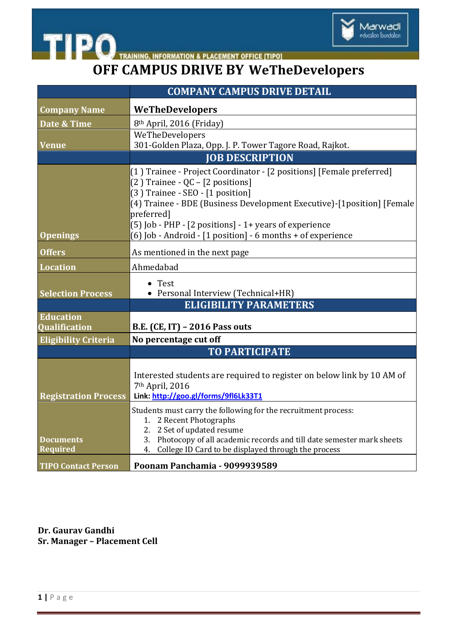

## **OFF CAMPUS DRIVE BY WeTheDevelopers**

|                                          | <b>COMPANY CAMPUS DRIVE DETAIL</b>                                                                                                                                                                                                                                                                 |
|------------------------------------------|----------------------------------------------------------------------------------------------------------------------------------------------------------------------------------------------------------------------------------------------------------------------------------------------------|
| <b>Company Name</b>                      | WeTheDevelopers                                                                                                                                                                                                                                                                                    |
| Date & Time                              | 8 <sup>th</sup> April, 2016 (Friday)                                                                                                                                                                                                                                                               |
| <b>Venue</b>                             | WeTheDevelopers<br>301-Golden Plaza, Opp. J. P. Tower Tagore Road, Rajkot.                                                                                                                                                                                                                         |
|                                          | <b>JOB DESCRIPTION</b>                                                                                                                                                                                                                                                                             |
|                                          | (1) Trainee - Project Coordinator - [2 positions] [Female preferred]<br>$(2)$ Trainee - QC – $[2$ positions]<br>(3) Trainee - SEO - [1 position]<br>(4) Trainee - BDE (Business Development Executive)-[1position] [Female<br>preferred]<br>(5) Job - PHP - [2 positions] - 1+ years of experience |
| <b>Openings</b>                          | $(6)$ Job - Android - [1 position] - 6 months + of experience                                                                                                                                                                                                                                      |
| <b>Offers</b>                            | As mentioned in the next page                                                                                                                                                                                                                                                                      |
| <b>Location</b>                          | Ahmedabad                                                                                                                                                                                                                                                                                          |
| <b>Selection Process</b>                 | $\bullet$ Test<br>• Personal Interview (Technical+HR)                                                                                                                                                                                                                                              |
|                                          | <b>ELIGIBILITY PARAMETERS</b>                                                                                                                                                                                                                                                                      |
| <b>Education</b><br><b>Oualification</b> | B.E. (CE, IT) - 2016 Pass outs                                                                                                                                                                                                                                                                     |
| <b>Eligibility Criteria</b>              | No percentage cut off                                                                                                                                                                                                                                                                              |
|                                          | <b>TO PARTICIPATE</b>                                                                                                                                                                                                                                                                              |
| <b>Registration Process</b>              | Interested students are required to register on below link by 10 AM of<br>7 <sup>th</sup> April, 2016<br>Link: http://goo.gl/forms/9fl6Lk33T1                                                                                                                                                      |
| <b>Documents</b><br><b>Required</b>      | Students must carry the following for the recruitment process:<br>1. 2 Recent Photographs<br>2. 2 Set of updated resume<br>Photocopy of all academic records and till date semester mark sheets<br>3.<br>College ID Card to be displayed through the process<br>4.                                 |
| <b>TIPO Contact Person</b>               | Poonam Panchamia - 9099939589                                                                                                                                                                                                                                                                      |

**Dr. Gaurav Gandhi Sr. Manager – Placement Cell**